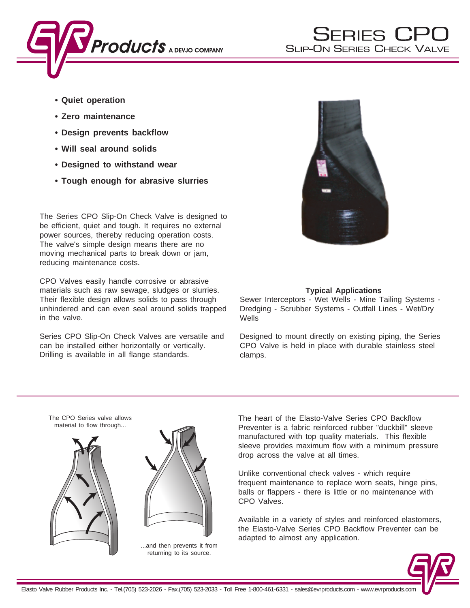

- **Quiet operation**
- **Zero maintenance**
- **Design prevents backflow**
- **Will seal around solids**
- **Designed to withstand wear**
- **Tough enough for abrasive slurries**

The Series CPO Slip-On Check Valve is designed to be efficient, quiet and tough. It requires no external power sources, thereby reducing operation costs. The valve's simple design means there are no moving mechanical parts to break down or jam, reducing maintenance costs.

CPO Valves easily handle corrosive or abrasive materials such as raw sewage, sludges or slurries. Their flexible design allows solids to pass through unhindered and can even seal around solids trapped in the valve.

Series CPO Slip-On Check Valves are versatile and can be installed either horizontally or vertically. Drilling is available in all flange standards.



# **Typical Applications**

Sewer Interceptors - Wet Wells - Mine Tailing Systems - Dredging - Scrubber Systems - Outfall Lines - Wet/Dry **Wells** 

Designed to mount directly on existing piping, the Series CPO Valve is held in place with durable stainless steel clamps.



The heart of the Elasto-Valve Series CPO Backflow Preventer is a fabric reinforced rubber "duckbill" sleeve manufactured with top quality materials. This flexible sleeve provides maximum flow with a minimum pressure drop across the valve at all times.

Unlike conventional check valves - which require frequent maintenance to replace worn seats, hinge pins, balls or flappers - there is little or no maintenance with CPO Valves.

Available in a variety of styles and reinforced elastomers, the Elasto-Valve Series CPO Backflow Preventer can be adapted to almost any application.